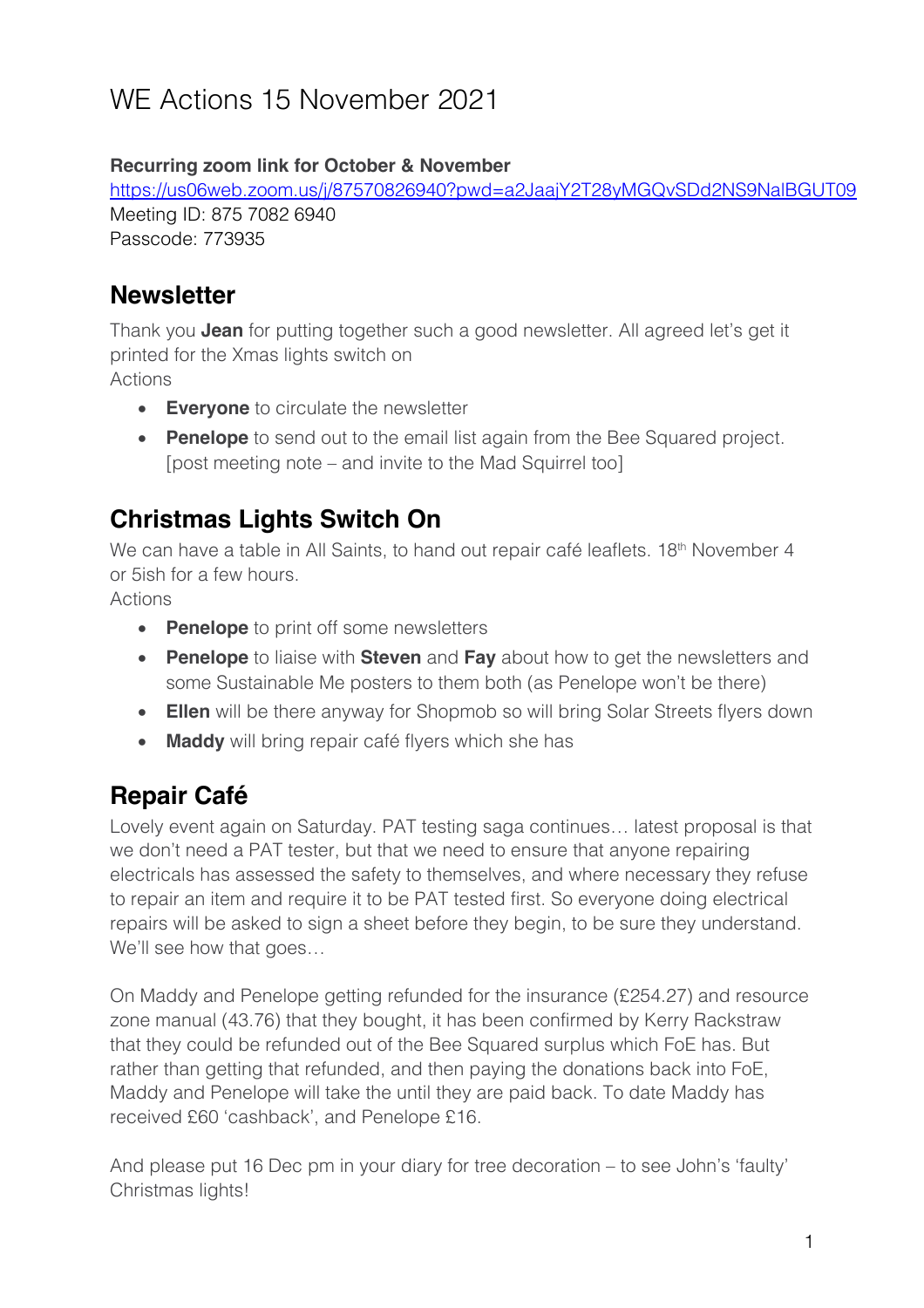# WE Actions 15 November 2021

#### **Recurring zoom link for October & November**

https://us06web.zoom.us/j/87570826940?pwd=a2JaajY2T28yMGQvSDd2NS9NalBGUT09 Meeting ID: 875 7082 6940 Passcode: 773935

#### **Newsletter**

Thank you **Jean** for putting together such a good newsletter. All agreed let's get it printed for the Xmas lights switch on Actions

- **Everyone** to circulate the newsletter
- **Penelope** to send out to the email list again from the Bee Squared project. [post meeting note – and invite to the Mad Squirrel too]

#### **Christmas Lights Switch On**

We can have a table in All Saints, to hand out repair café leaflets. 18<sup>th</sup> November 4 or 5ish for a few hours.

Actions

- **Penelope** to print off some newsletters
- **Penelope** to liaise with **Steven** and **Fay** about how to get the newsletters and some Sustainable Me posters to them both (as Penelope won't be there)
- **Ellen** will be there anyway for Shopmob so will bring Solar Streets flyers down
- **Maddy** will bring repair café flyers which she has

### **Repair Café**

Lovely event again on Saturday. PAT testing saga continues… latest proposal is that we don't need a PAT tester, but that we need to ensure that anyone repairing electricals has assessed the safety to themselves, and where necessary they refuse to repair an item and require it to be PAT tested first. So everyone doing electrical repairs will be asked to sign a sheet before they begin, to be sure they understand. We'll see how that goes…

On Maddy and Penelope getting refunded for the insurance (£254.27) and resource zone manual (43.76) that they bought, it has been confirmed by Kerry Rackstraw that they could be refunded out of the Bee Squared surplus which FoE has. But rather than getting that refunded, and then paying the donations back into FoE, Maddy and Penelope will take the until they are paid back. To date Maddy has received £60 'cashback', and Penelope £16.

And please put 16 Dec pm in your diary for tree decoration – to see John's 'faulty' Christmas lights!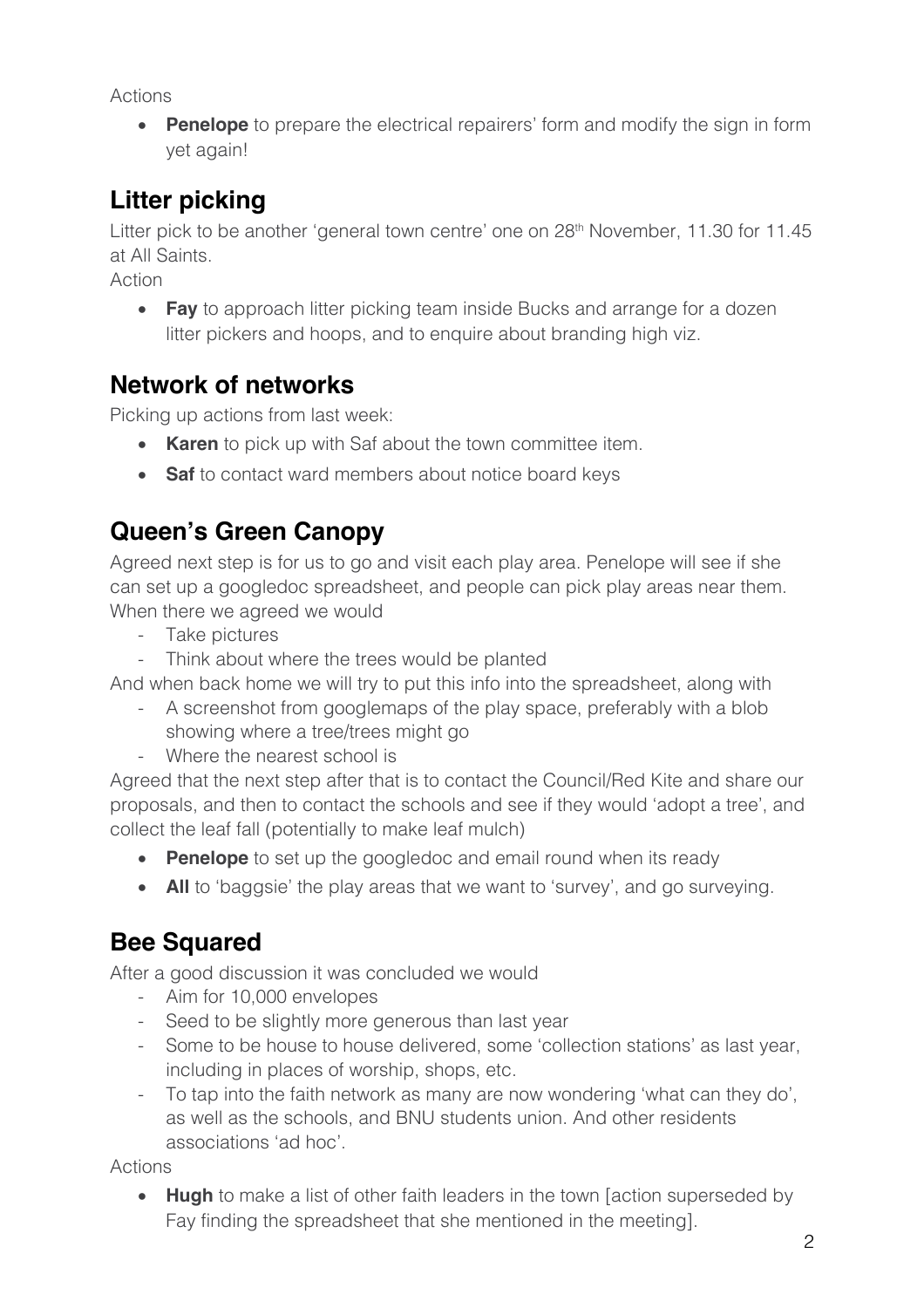Actions

• **Penelope** to prepare the electrical repairers' form and modify the sign in form yet again!

## **Litter picking**

Litter pick to be another 'general town centre' one on 28<sup>th</sup> November, 11.30 for 11.45 at All Saints.

Action

• **Fay** to approach litter picking team inside Bucks and arrange for a dozen litter pickers and hoops, and to enquire about branding high viz.

#### **Network of networks**

Picking up actions from last week:

- **Karen** to pick up with Saf about the town committee item.
- **Saf** to contact ward members about notice board keys

## **Queen's Green Canopy**

Agreed next step is for us to go and visit each play area. Penelope will see if she can set up a googledoc spreadsheet, and people can pick play areas near them. When there we agreed we would

- Take pictures
- Think about where the trees would be planted

And when back home we will try to put this info into the spreadsheet, along with

- A screenshot from googlemaps of the play space, preferably with a blob showing where a tree/trees might go
- Where the nearest school is

Agreed that the next step after that is to contact the Council/Red Kite and share our proposals, and then to contact the schools and see if they would 'adopt a tree', and collect the leaf fall (potentially to make leaf mulch)

- **Penelope** to set up the googledoc and email round when its ready
- All to 'baggsie' the play areas that we want to 'survey', and go surveying.

## **Bee Squared**

After a good discussion it was concluded we would

- Aim for 10,000 envelopes
- Seed to be slightly more generous than last year
- Some to be house to house delivered, some 'collection stations' as last year, including in places of worship, shops, etc.
- To tap into the faith network as many are now wondering 'what can they do', as well as the schools, and BNU students union. And other residents associations 'ad hoc'.

Actions

• **Hugh** to make a list of other faith leaders in the town [action superseded by Fay finding the spreadsheet that she mentioned in the meeting].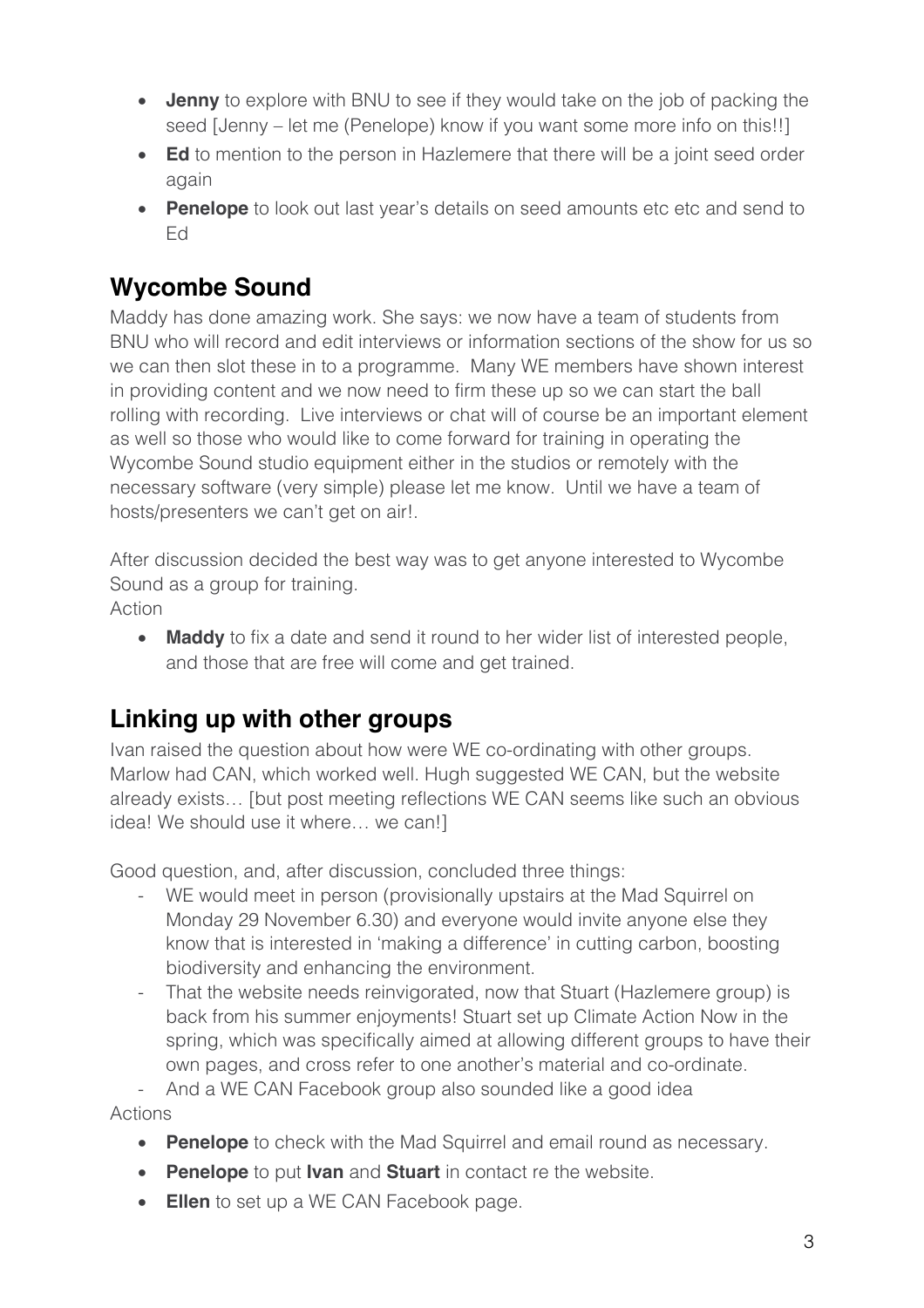- **Jenny** to explore with BNU to see if they would take on the job of packing the seed [Jenny – let me (Penelope) know if you want some more info on this!!]
- **Ed** to mention to the person in Hazlemere that there will be a joint seed order again
- **Penelope** to look out last year's details on seed amounts etc etc and send to Ed

## **Wycombe Sound**

Maddy has done amazing work. She says: we now have a team of students from BNU who will record and edit interviews or information sections of the show for us so we can then slot these in to a programme. Many WE members have shown interest in providing content and we now need to firm these up so we can start the ball rolling with recording. Live interviews or chat will of course be an important element as well so those who would like to come forward for training in operating the Wycombe Sound studio equipment either in the studios or remotely with the necessary software (very simple) please let me know. Until we have a team of hosts/presenters we can't get on air!.

After discussion decided the best way was to get anyone interested to Wycombe Sound as a group for training.

Action

• **Maddy** to fix a date and send it round to her wider list of interested people, and those that are free will come and get trained.

### **Linking up with other groups**

Ivan raised the question about how were WE co-ordinating with other groups. Marlow had CAN, which worked well. Hugh suggested WE CAN, but the website already exists… [but post meeting reflections WE CAN seems like such an obvious idea! We should use it where… we can!]

Good question, and, after discussion, concluded three things:

- WE would meet in person (provisionally upstairs at the Mad Squirrel on Monday 29 November 6.30) and everyone would invite anyone else they know that is interested in 'making a difference' in cutting carbon, boosting biodiversity and enhancing the environment.
- That the website needs reinvigorated, now that Stuart (Hazlemere group) is back from his summer enjoyments! Stuart set up Climate Action Now in the spring, which was specifically aimed at allowing different groups to have their own pages, and cross refer to one another's material and co-ordinate.

- And a WE CAN Facebook group also sounded like a good idea

Actions

- **Penelope** to check with the Mad Squirrel and email round as necessary.
- **Penelope** to put **Ivan** and **Stuart** in contact re the website.
- **Ellen** to set up a WE CAN Facebook page.